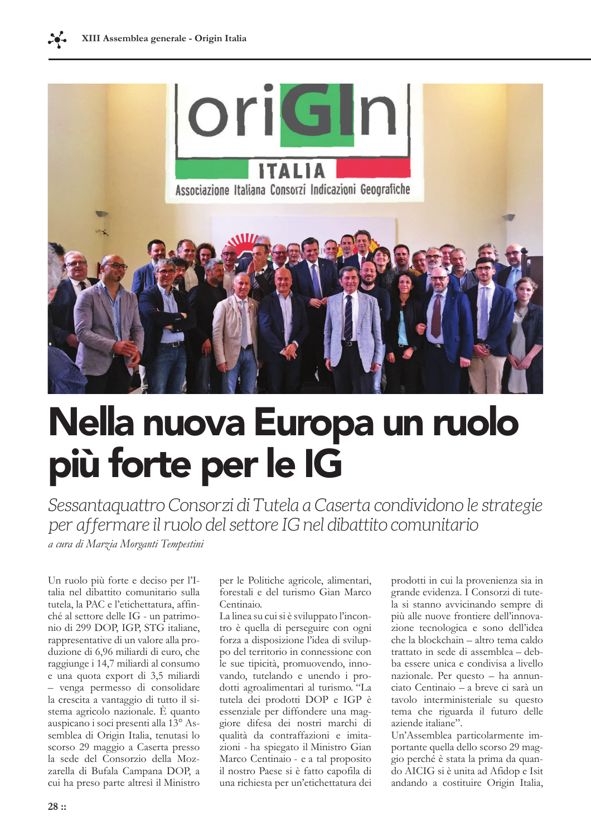

## Nella nuova Europa un ruolo più forte per le IG

Sessantaquattro Consorzi di Tutela a Caserta condividono le strategie per affermare il ruolo del settore IG nel dibattito comunitario

a cura di Marzia Morganti Tempestini

Un ruolo più forte e deciso per l'Italia nel dibattito comunitario sulla tutela, la PAC e l'etichettatura, affinché al settore delle IG - un patrimonio di 299 DOP, IGP, STG italiane, rappresentative di un valore alla produzione di 6,96 miliardi di euro, che raggiunge i 14,7 miliardi al consumo e una quota export di 3,5 miliardi - venga permesso di consolidare la crescita a vantaggio di tutto il sistema agricolo nazionale. È quanto auspicano i soci presenti alla 13° Assemblea di Origin Italia, tenutasi lo scorso 29 maggio a Caserta presso la sede del Consorzio della Mozzarella di Bufala Campana DOP, a cui ha preso parte altresì il Ministro

per le Politiche agricole, alimentari, forestali e del turismo Gian Marco Centinaio.

La linea su cui si è sviluppato l'incontro è quella di perseguire con ogni forza a disposizione l'idea di sviluppo del territorio in connessione con le sue tipicità, promuovendo, innovando, tutelando e unendo i prodotti agroalimentari al turismo. "La tutela dei prodotti DOP e IGP è essenziale per diffondere una maggiore difesa dei nostri marchi di qualità da contraffazioni e imitazioni - ha spiegato il Ministro Gian Marco Centinaio - e a tal proposito il nostro Paese si è fatto capofila di una richiesta per un'etichettatura dei

prodotti in cui la provenienza sia in grande evidenza. I Consorzi di tutela si stanno avvicinando sempre di più alle nuove frontiere dell'innovazione tecnologica e sono dell'idea che la blockchain – altro tema caldo trattato in sede di assemblea - debba essere unica e condivisa a livello nazionale. Per questo – ha annunciato Centinaio - a breve ci sarà un tavolo interministeriale su questo tema che riguarda il futuro delle aziende italiane".

Un'Assemblea particolarmente importante quella dello scorso 29 maggio perché è stata la prima da quando AICIG si è unita ad Afidop e Isit andando a costituire Origin Italia,